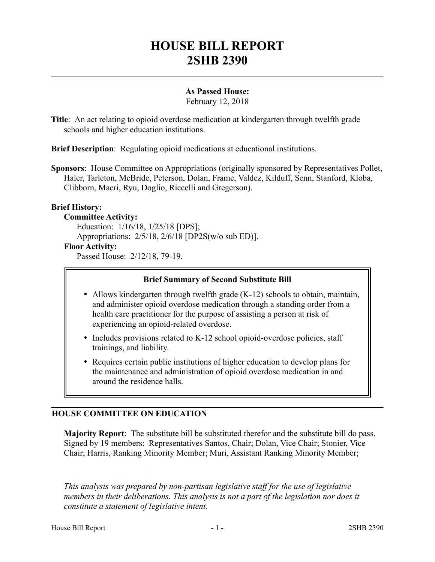# **HOUSE BILL REPORT 2SHB 2390**

# **As Passed House:**

February 12, 2018

**Title**: An act relating to opioid overdose medication at kindergarten through twelfth grade schools and higher education institutions.

**Brief Description**: Regulating opioid medications at educational institutions.

**Sponsors**: House Committee on Appropriations (originally sponsored by Representatives Pollet, Haler, Tarleton, McBride, Peterson, Dolan, Frame, Valdez, Kilduff, Senn, Stanford, Kloba, Clibborn, Macri, Ryu, Doglio, Riccelli and Gregerson).

# **Brief History:**

#### **Committee Activity:**

Education: 1/16/18, 1/25/18 [DPS]; Appropriations: 2/5/18, 2/6/18 [DP2S(w/o sub ED)]. **Floor Activity:** Passed House: 2/12/18, 79-19.

#### **Brief Summary of Second Substitute Bill**

- Allows kindergarten through twelfth grade (K-12) schools to obtain, maintain, and administer opioid overdose medication through a standing order from a health care practitioner for the purpose of assisting a person at risk of experiencing an opioid-related overdose.
- Includes provisions related to K-12 school opioid-overdose policies, staff trainings, and liability.
- Requires certain public institutions of higher education to develop plans for the maintenance and administration of opioid overdose medication in and around the residence halls.

# **HOUSE COMMITTEE ON EDUCATION**

**Majority Report**: The substitute bill be substituted therefor and the substitute bill do pass. Signed by 19 members: Representatives Santos, Chair; Dolan, Vice Chair; Stonier, Vice Chair; Harris, Ranking Minority Member; Muri, Assistant Ranking Minority Member;

––––––––––––––––––––––

*This analysis was prepared by non-partisan legislative staff for the use of legislative members in their deliberations. This analysis is not a part of the legislation nor does it constitute a statement of legislative intent.*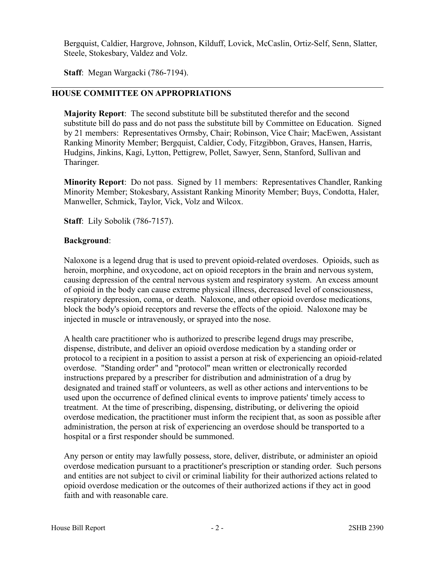Bergquist, Caldier, Hargrove, Johnson, Kilduff, Lovick, McCaslin, Ortiz-Self, Senn, Slatter, Steele, Stokesbary, Valdez and Volz.

**Staff**: Megan Wargacki (786-7194).

# **HOUSE COMMITTEE ON APPROPRIATIONS**

**Majority Report**: The second substitute bill be substituted therefor and the second substitute bill do pass and do not pass the substitute bill by Committee on Education. Signed by 21 members: Representatives Ormsby, Chair; Robinson, Vice Chair; MacEwen, Assistant Ranking Minority Member; Bergquist, Caldier, Cody, Fitzgibbon, Graves, Hansen, Harris, Hudgins, Jinkins, Kagi, Lytton, Pettigrew, Pollet, Sawyer, Senn, Stanford, Sullivan and Tharinger.

**Minority Report**: Do not pass. Signed by 11 members: Representatives Chandler, Ranking Minority Member; Stokesbary, Assistant Ranking Minority Member; Buys, Condotta, Haler, Manweller, Schmick, Taylor, Vick, Volz and Wilcox.

**Staff**: Lily Sobolik (786-7157).

# **Background**:

Naloxone is a legend drug that is used to prevent opioid-related overdoses. Opioids, such as heroin, morphine, and oxycodone, act on opioid receptors in the brain and nervous system, causing depression of the central nervous system and respiratory system. An excess amount of opioid in the body can cause extreme physical illness, decreased level of consciousness, respiratory depression, coma, or death. Naloxone, and other opioid overdose medications, block the body's opioid receptors and reverse the effects of the opioid. Naloxone may be injected in muscle or intravenously, or sprayed into the nose.

A health care practitioner who is authorized to prescribe legend drugs may prescribe, dispense, distribute, and deliver an opioid overdose medication by a standing order or protocol to a recipient in a position to assist a person at risk of experiencing an opioid-related overdose. "Standing order" and "protocol" mean written or electronically recorded instructions prepared by a prescriber for distribution and administration of a drug by designated and trained staff or volunteers, as well as other actions and interventions to be used upon the occurrence of defined clinical events to improve patients' timely access to treatment. At the time of prescribing, dispensing, distributing, or delivering the opioid overdose medication, the practitioner must inform the recipient that, as soon as possible after administration, the person at risk of experiencing an overdose should be transported to a hospital or a first responder should be summoned.

Any person or entity may lawfully possess, store, deliver, distribute, or administer an opioid overdose medication pursuant to a practitioner's prescription or standing order. Such persons and entities are not subject to civil or criminal liability for their authorized actions related to opioid overdose medication or the outcomes of their authorized actions if they act in good faith and with reasonable care.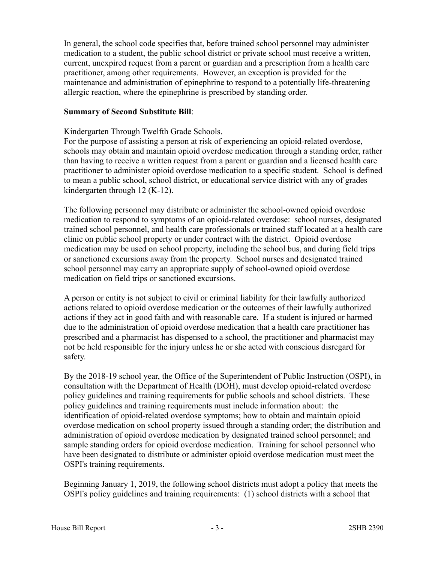In general, the school code specifies that, before trained school personnel may administer medication to a student, the public school district or private school must receive a written, current, unexpired request from a parent or guardian and a prescription from a health care practitioner, among other requirements. However, an exception is provided for the maintenance and administration of epinephrine to respond to a potentially life-threatening allergic reaction, where the epinephrine is prescribed by standing order.

#### **Summary of Second Substitute Bill**:

#### Kindergarten Through Twelfth Grade Schools.

For the purpose of assisting a person at risk of experiencing an opioid-related overdose, schools may obtain and maintain opioid overdose medication through a standing order, rather than having to receive a written request from a parent or guardian and a licensed health care practitioner to administer opioid overdose medication to a specific student. School is defined to mean a public school, school district, or educational service district with any of grades kindergarten through 12 (K-12).

The following personnel may distribute or administer the school-owned opioid overdose medication to respond to symptoms of an opioid-related overdose: school nurses, designated trained school personnel, and health care professionals or trained staff located at a health care clinic on public school property or under contract with the district. Opioid overdose medication may be used on school property, including the school bus, and during field trips or sanctioned excursions away from the property. School nurses and designated trained school personnel may carry an appropriate supply of school-owned opioid overdose medication on field trips or sanctioned excursions.

A person or entity is not subject to civil or criminal liability for their lawfully authorized actions related to opioid overdose medication or the outcomes of their lawfully authorized actions if they act in good faith and with reasonable care. If a student is injured or harmed due to the administration of opioid overdose medication that a health care practitioner has prescribed and a pharmacist has dispensed to a school, the practitioner and pharmacist may not be held responsible for the injury unless he or she acted with conscious disregard for safety.

By the 2018-19 school year, the Office of the Superintendent of Public Instruction (OSPI), in consultation with the Department of Health (DOH), must develop opioid-related overdose policy guidelines and training requirements for public schools and school districts. These policy guidelines and training requirements must include information about: the identification of opioid-related overdose symptoms; how to obtain and maintain opioid overdose medication on school property issued through a standing order; the distribution and administration of opioid overdose medication by designated trained school personnel; and sample standing orders for opioid overdose medication. Training for school personnel who have been designated to distribute or administer opioid overdose medication must meet the OSPI's training requirements.

Beginning January 1, 2019, the following school districts must adopt a policy that meets the OSPI's policy guidelines and training requirements: (1) school districts with a school that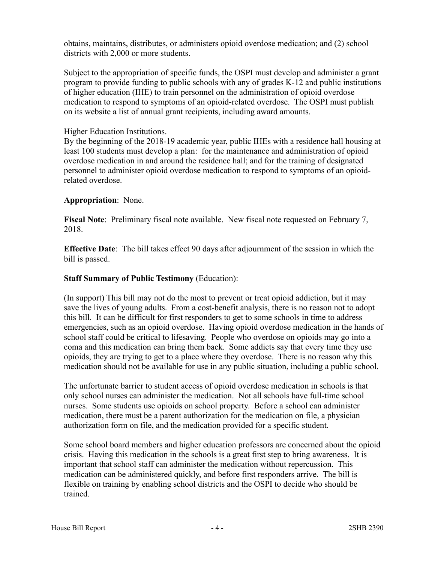obtains, maintains, distributes, or administers opioid overdose medication; and (2) school districts with 2,000 or more students.

Subject to the appropriation of specific funds, the OSPI must develop and administer a grant program to provide funding to public schools with any of grades K-12 and public institutions of higher education (IHE) to train personnel on the administration of opioid overdose medication to respond to symptoms of an opioid-related overdose. The OSPI must publish on its website a list of annual grant recipients, including award amounts.

# Higher Education Institutions.

By the beginning of the 2018-19 academic year, public IHEs with a residence hall housing at least 100 students must develop a plan: for the maintenance and administration of opioid overdose medication in and around the residence hall; and for the training of designated personnel to administer opioid overdose medication to respond to symptoms of an opioidrelated overdose.

# **Appropriation**: None.

**Fiscal Note**: Preliminary fiscal note available. New fiscal note requested on February 7, 2018.

**Effective Date**: The bill takes effect 90 days after adjournment of the session in which the bill is passed.

# **Staff Summary of Public Testimony** (Education):

(In support) This bill may not do the most to prevent or treat opioid addiction, but it may save the lives of young adults. From a cost-benefit analysis, there is no reason not to adopt this bill. It can be difficult for first responders to get to some schools in time to address emergencies, such as an opioid overdose. Having opioid overdose medication in the hands of school staff could be critical to lifesaving. People who overdose on opioids may go into a coma and this medication can bring them back. Some addicts say that every time they use opioids, they are trying to get to a place where they overdose. There is no reason why this medication should not be available for use in any public situation, including a public school.

The unfortunate barrier to student access of opioid overdose medication in schools is that only school nurses can administer the medication. Not all schools have full-time school nurses. Some students use opioids on school property. Before a school can administer medication, there must be a parent authorization for the medication on file, a physician authorization form on file, and the medication provided for a specific student.

Some school board members and higher education professors are concerned about the opioid crisis. Having this medication in the schools is a great first step to bring awareness. It is important that school staff can administer the medication without repercussion. This medication can be administered quickly, and before first responders arrive. The bill is flexible on training by enabling school districts and the OSPI to decide who should be trained.